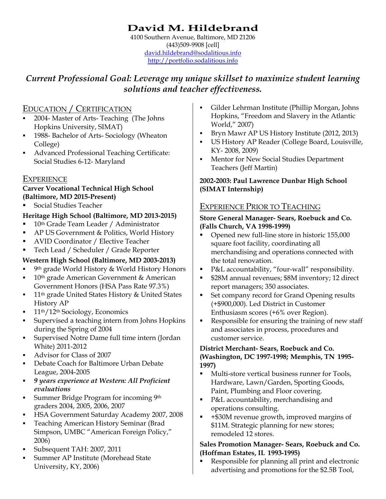# **David M. Hildebrand**

4100 Southern Avenue, Baltimore, MD 21206 (443)509-9908 [cell] david.hildebrand@sodalitious.info http://portfolio.sodalitious.info

# *Current Professional Goal: Leverage my unique skillset to maximize student learning solutions and teacher effectiveness.*

### EDUCATION / CERTIFICATION

- 2004- Master of Arts- Teaching (The Johns Hopkins University, SIMAT)
- <sup>1988</sup>- Bachelor of Arts- Sociology (Wheaton College)
- Advanced Professional Teaching Certificate: Social Studies 6-12- Maryland

### EXPERIENCE

#### **Carver Vocational Technical High School (Baltimore, MD 2015-Present)**

Social Studies Teacher

### **Heritage High School (Baltimore, MD 2013-2015)**

- 10<sup>th</sup> Grade Team Leader / Administrator
- AP US Government & Politics, World History
- AVID Coordinator / Elective Teacher
- Tech Lead / Scheduler / Grade Reporter

### **Western High School (Baltimore, MD 2003-2013)**

- 9th grade World History & World History Honors
- 10th grade American Government & American Government Honors (HSA Pass Rate 97.3%)
- <sup>11th</sup> grade United States History & United States History AP
- 11th/12th Sociology, Economics
- Supervised a teaching intern from Johns Hopkins during the Spring of 2004
- Supervised Notre Dame full time intern (Jordan White) 2011-2012
- Advisor for Class of 2007
- Debate Coach for Baltimore Urban Debate League, 2004-2005
- *9 years experience at Western: All Proficient evaluations*
- Summer Bridge Program for incoming 9th graders 2004, 2005, 2006, 2007
- **HSA Government Saturday Academy 2007, 2008**
- Teaching American History Seminar (Brad Simpson, UMBC "American Foreign Policy," 2006)
- Subsequent TAH: 2007, 2011
- Summer AP Institute (Morehead State University, KY, 2006)
- Gilder Lehrman Institute (Phillip Morgan, Johns Hopkins, "Freedom and Slavery in the Atlantic World," 2007)
- Bryn Mawr AP US History Institute (2012, 2013)
- US History AP Reader (College Board, Louisville, KY- 2008, 2009)
- Mentor for New Social Studies Department Teachers (Jeff Martin)

#### **2002-2003: Paul Lawrence Dunbar High School (SIMAT Internship)**

### EXPERIENCE PRIOR TO TEACHING

#### **Store General Manager- Sears, Roebuck and Co. (Falls Church, VA 1998-1999)**

- Opened new full-line store in historic 155,000 square foot facility, coordinating all merchandising and operations connected with the total renovation.
- P&L accountability, "four-wall" responsibility.
- \$28M annual revenues; \$8M inventory; 12 direct report managers; 350 associates.
- Set company record for Grand Opening results (+\$900,000). Led District in Customer Enthusiasm scores (+6% over Region).
- Responsible for ensuring the training of new staff and associates in process, procedures and customer service.

#### **District Merchant- Sears, Roebuck and Co. (Washington, DC 1997-1998; Memphis, TN 1995- 1997)**

- Multi-store vertical business runner for Tools, Hardware, Lawn/Garden, Sporting Goods, Paint, Plumbing and Floor covering.
- P&L accountability, merchandising and operations consulting.
- +\$30M revenue growth, improved margins of \$11M. Strategic planning for new stores; remodeled 12 stores.

#### **Sales Promotion Manager- Sears, Roebuck and Co. (Hoffman Estates, IL 1993-1995)**

 Responsible for planning all print and electronic advertising and promotions for the \$2.5B Tool,